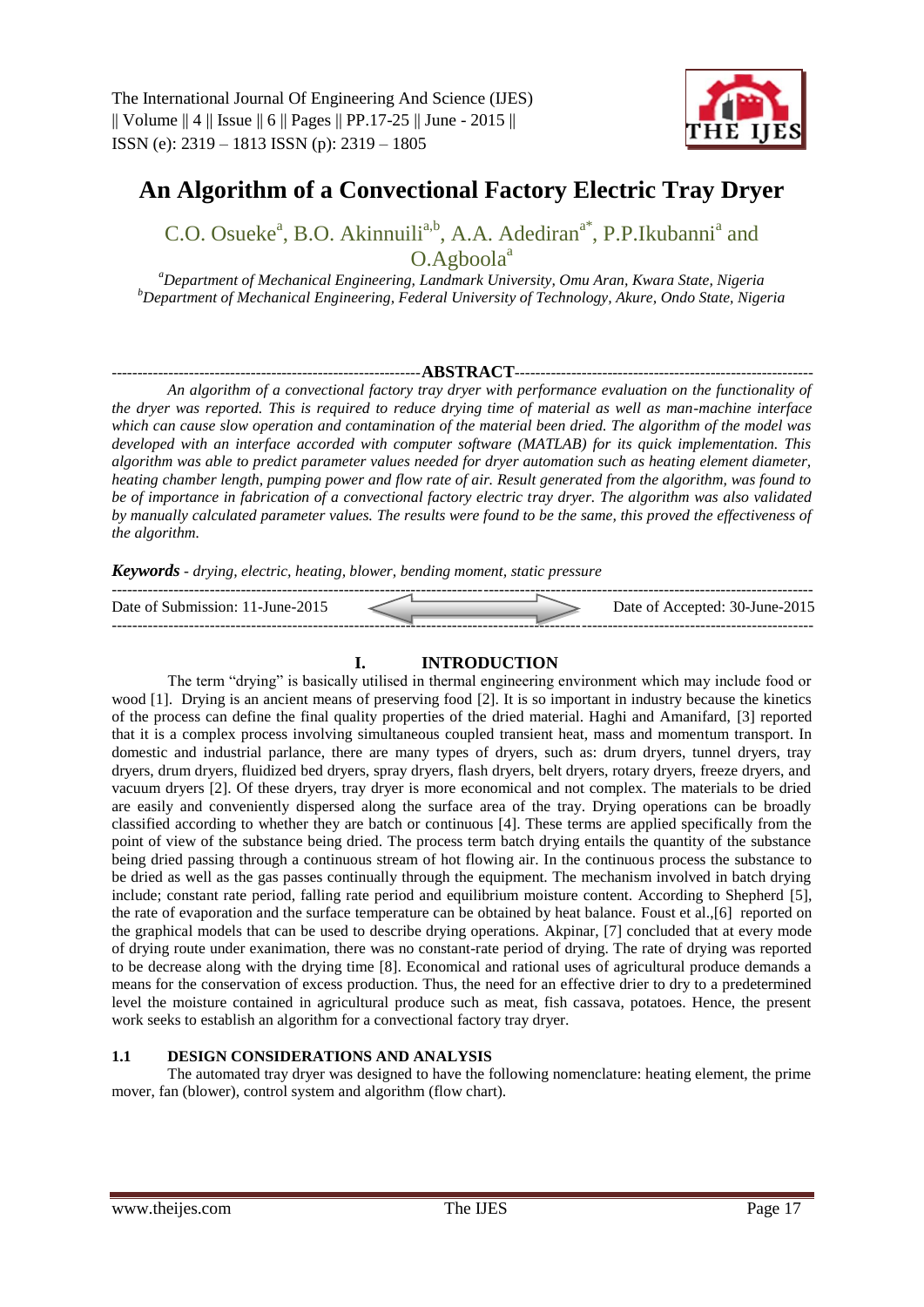

# **An Algorithm of a Convectional Factory Electric Tray Dryer**

C.O. Osueke<sup>a</sup>, B.O. Akinnuili<sup>a,b</sup>, A.A. Adediran<sup>a\*</sup>, P.P.Ikubanni<sup>a</sup> and  $O.Agboola<sup>a</sup>$ 

*<sup>a</sup>Department of Mechanical Engineering, Landmark University, Omu Aran, Kwara State, Nigeria <sup>b</sup>Department of Mechanical Engineering, Federal University of Technology, Akure, Ondo State, Nigeria*

## ------------------------------------------------------------**ABSTRACT**----------------------------------------------------------

*An algorithm of a convectional factory tray dryer with performance evaluation on the functionality of the dryer was reported. This is required to reduce drying time of material as well as man-machine interface which can cause slow operation and contamination of the material been dried. The algorithm of the model was developed with an interface accorded with computer software (MATLAB) for its quick implementation. This algorithm was able to predict parameter values needed for dryer automation such as heating element diameter, heating chamber length, pumping power and flow rate of air. Result generated from the algorithm, was found to be of importance in fabrication of a convectional factory electric tray dryer. The algorithm was also validated by manually calculated parameter values. The results were found to be the same, this proved the effectiveness of the algorithm.* 

*Keywords - drying, electric, heating, blower, bending moment, static pressure*

| Date of Submission: 11-June-2015 |  | Date of Accepted: 30-June-2015 |
|----------------------------------|--|--------------------------------|
|                                  |  |                                |

# **I. INTRODUCTION**

The term "drying" is basically utilised in thermal engineering environment which may include food or wood [1]. Drying is an ancient means of preserving food [2]. It is so important in industry because the kinetics of the process can define the final quality properties of the dried material. Haghi and Amanifard, [3] reported that it is a complex process involving simultaneous coupled transient heat, mass and momentum transport. In domestic and industrial parlance, there are many types of dryers, such as: drum dryers, tunnel dryers, tray dryers, drum dryers, fluidized bed dryers, spray dryers, flash dryers, belt dryers, rotary dryers, freeze dryers, and vacuum dryers [2]. Of these dryers, tray dryer is more economical and not complex. The materials to be dried are easily and conveniently dispersed along the surface area of the tray. Drying operations can be broadly classified according to whether they are batch or continuous [4]. These terms are applied specifically from the point of view of the substance being dried. The process term batch drying entails the quantity of the substance being dried passing through a continuous stream of hot flowing air. In the continuous process the substance to be dried as well as the gas passes continually through the equipment. The mechanism involved in batch drying include; constant rate period, falling rate period and equilibrium moisture content. According to Shepherd [5], the rate of evaporation and the surface temperature can be obtained by heat balance. Foust et al.,[6] reported on the graphical models that can be used to describe drying operations. Akpinar, [7] concluded that at every mode of drying route under exanimation, there was no constant-rate period of drying. The rate of drying was reported to be decrease along with the drying time [8]. Economical and rational uses of agricultural produce demands a means for the conservation of excess production. Thus, the need for an effective drier to dry to a predetermined level the moisture contained in agricultural produce such as meat, fish cassava, potatoes. Hence, the present work seeks to establish an algorithm for a convectional factory tray dryer.

## **1.1 DESIGN CONSIDERATIONS AND ANALYSIS**

The automated tray dryer was designed to have the following nomenclature: heating element, the prime mover, fan (blower), control system and algorithm (flow chart).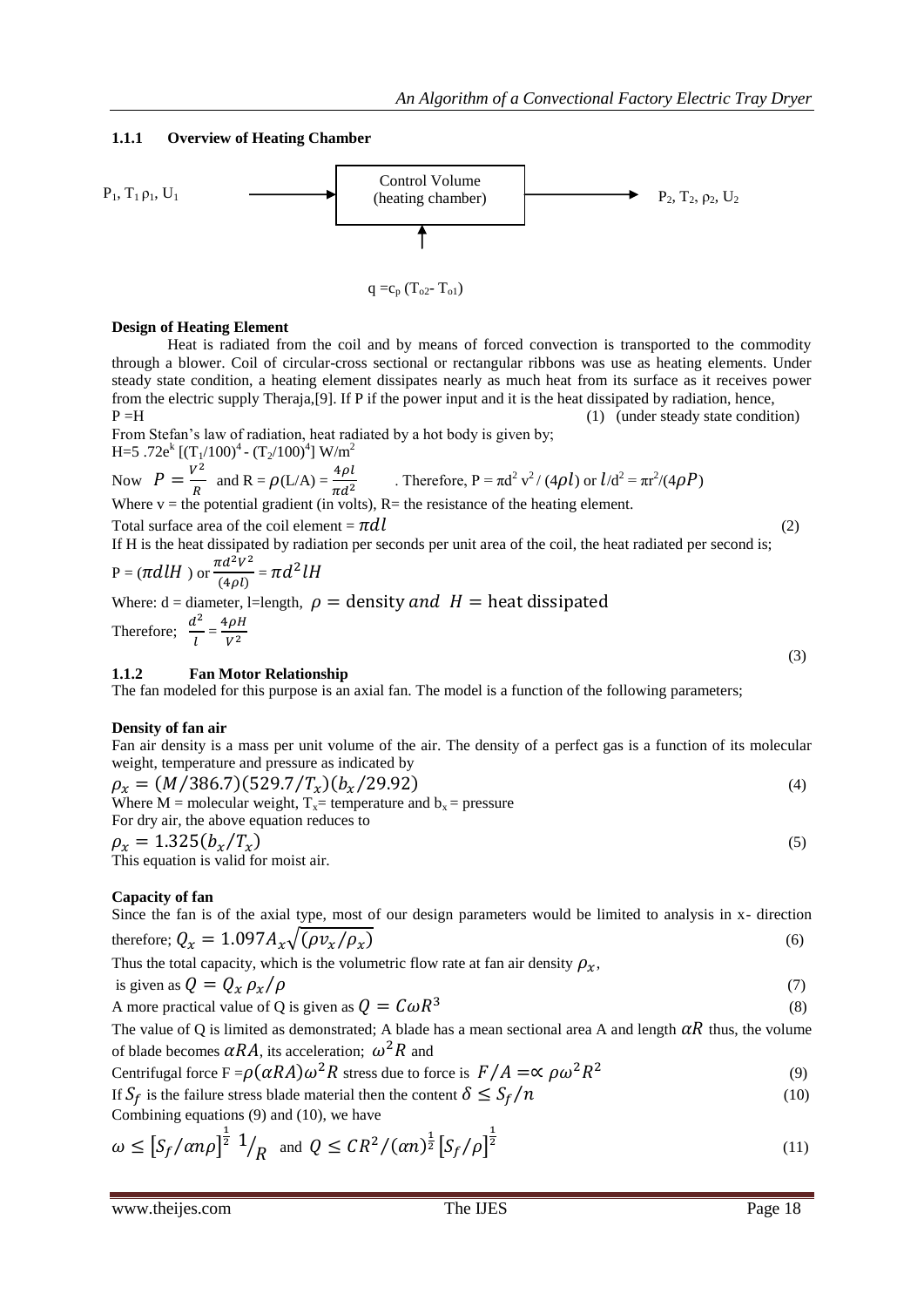## **1.1.1 Overview of Heating Chamber**



### **Design of Heating Element**

Heat is radiated from the coil and by means of forced convection is transported to the commodity through a blower. Coil of circular-cross sectional or rectangular ribbons was use as heating elements. Under steady state condition, a heating element dissipates nearly as much heat from its surface as it receives power from the electric supply Theraja, [9]. If P if the power input and it is the heat dissipated by radiation, hence,  $P=H$  (1) (under steady state conditionally  $(1)$  (under steady state condition)

From Stefan's law of radiation, heat radiated by a hot body is given by; H=5 .72e<sup>k</sup> [(T<sub>1</sub>/100)<sup>4</sup> - (T<sub>2</sub>/100)<sup>4</sup>] W/m<sup>2</sup>

Now 
$$
P = \frac{V^2}{R}
$$
 and  $R = \rho(L/A) = \frac{4\rho l}{\pi d^2}$ . Therefore,  $P = \pi d^2 v^2/(4\rho l)$  or  $l/d^2 = \pi r^2/(4\rho P)$   
Where v = the potential gradient (in volts), R= the resistance of the heating element.

Total surface area of the coil element =  $\pi d l$  (2) If H is the heat dissipated by radiation per seconds per unit area of the coil, the heat radiated per second is;  $\pi d^2 V^2$ 

P = 
$$
(\pi d l H)
$$
 or  $\frac{\pi a^2 v^2}{(4\rho l)} = \pi d^2 l H$   
Where: d = diameter, l = length,  $\rho$  = density and  $H$  = heat dissipated  
Therefore;  $\frac{d^2}{l} = \frac{4\rho H}{V^2}$ 

## **1.1.2 Fan Motor Relationship**

The fan modeled for this purpose is an axial fan. The model is a function of the following parameters;

#### **Density of fan air**

Fan air density is a mass per unit volume of the air. The density of a perfect gas is a function of its molecular weight, temperature and pressure as indicated by

$$
\rho_x = (M/386.7)(529.7/T_x)(b_x/29.92)
$$
  
Where M = molecular weight, T<sub>x</sub>= temperature and b<sub>x</sub> = pressure  
For dry air, the above equation reduces to

$$
\rho_x = 1.325 (b_x/T_x
$$

 $\left(5\right)$ This equation is valid for moist air.

## **Capacity of fan**

Since the fan is of the axial type, most of our design parameters would be limited to analysis in x- direction therefore;  $Q_x = 1.097 A_x \sqrt{\left(\rho v_x / \rho_x\right)}$  $\left(6\right)$ 

Thus the total capacity, which is the volumetric flow rate at fan air density  $\rho_x$ ,

is given as 
$$
Q = Q_x \rho_x / \rho
$$
 (7)

A more practical value of Q is given as 
$$
Q = C \omega R^3
$$
 (8)

The value of Q is limited as demonstrated; A blade has a mean sectional area A and length  $\alpha R$  thus, the volume of blade becomes  $\alpha RA$ , its acceleration;  $\omega^2 R$  and

Centrifugal force F = 
$$
\rho(\alpha RA)\omega^2 R
$$
 stress due to force is  $F/A = \alpha \rho \omega^2 R^2$  (9)

If 
$$
S_f
$$
 is the failure stress blade material then the content  $\delta \leq S_f/n$  (10)

Combining equations (9) and (10), we have

$$
\omega \le \left[ S_f / \alpha n \rho \right]^{\frac{1}{2}} \, \frac{1}{R} \quad \text{and} \quad Q \le CR^2 / (\alpha n)^{\frac{1}{2}} \left[ S_f / \rho \right]^{\frac{1}{2}} \tag{11}
$$

(3)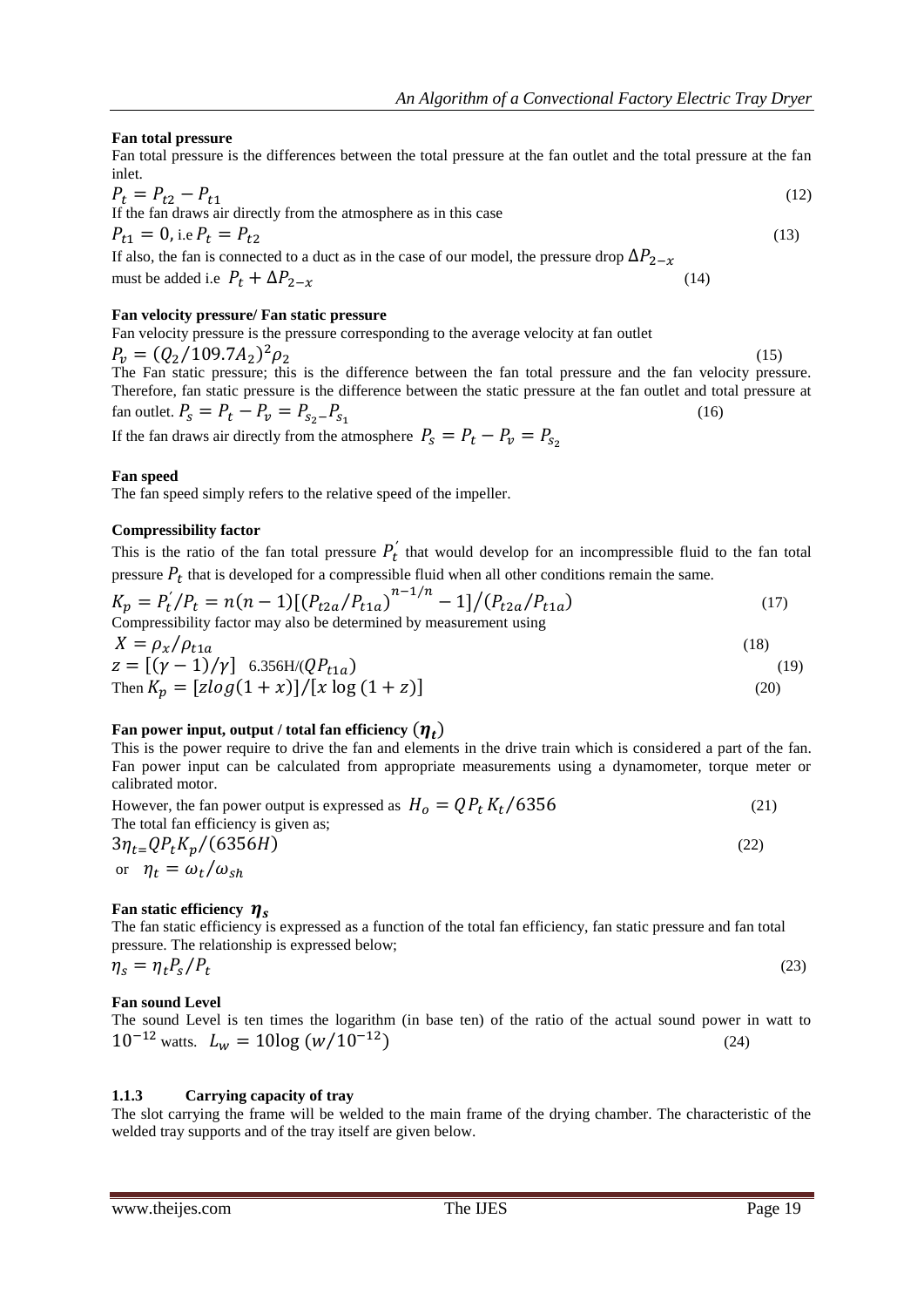## **Fan total pressure**

Fan total pressure is the differences between the total pressure at the fan outlet and the total pressure at the fan inlet.

$$
P_t = P_{t2} - P_{t1}
$$
  
If the fan draws air directly from the atmosphere as in this case  

$$
P_{t1} = 0
$$
, i.e  $P_t = P_{t2}$  (13)  
If also, the fan is connected to a duct as in the case of our model, the pressure drop  $\Delta P_{2-x}$  (14)  
must be added i.e  $P_t + \Delta P_{2-x}$ 

## **Fan velocity pressure/ Fan static pressure**

Fan velocity pressure is the pressure corresponding to the average velocity at fan outlet

 $P_v = (Q_2/109.7A_2)$  $^{2}\rho_{2}$  (15) The Fan static pressure; this is the difference between the fan total pressure and the fan velocity pressure. Therefore, fan static pressure is the difference between the static pressure at the fan outlet and total pressure at fan outlet.  $P_s = P_t - P_v = P_{s_2} - P_{s_1}$ (16)

If the fan draws air directly from the atmosphere  $P_s = P_t - P_v = P_{s_2}$ 

#### **Fan speed**

The fan speed simply refers to the relative speed of the impeller.

#### **Compressibility factor**

This is the ratio of the fan total pressure  $P_t^{\prime}$  that would develop for an incompressible fluid to the fan total pressure  $P_t$  that is developed for a compressible fluid when all other conditions remain the same.

$$
K_p = P'_t/P_t = n(n-1)[(P_{t2a}/P_{t1a})^{n-1/n} - 1]/(P_{t2a}/P_{t1a})
$$
  
Compressibility factor may also be determined by measurement using (17)

$$
X = \rho_x / \rho_{t1a}
$$
  
\n
$$
z = [(\gamma - 1)/\gamma] \quad 6.356 \text{H}/(QP_{t1a})
$$
  
\nThen  $K_p = [z \log(1 + x)]/[x \log(1 + z)]$  (19) (20)

## Fan power input, output / total fan efficiency  $(\boldsymbol{\eta}_t)$

This is the power require to drive the fan and elements in the drive train which is considered a part of the fan. Fan power input can be calculated from appropriate measurements using a dynamometer, torque meter or calibrated motor.

However, the fan power output is expressed as  $H_0 = Q P_t K_t / 6356$  (21) The total fan efficiency is given as;

$$
3\eta_{t} = QP_t K_p / (6356H)
$$
  
or  $\eta_t = \omega_t / \omega_{sh}$  (22)

#### **Fan static efficiency**  $\eta_s$

The fan static efficiency is expressed as a function of the total fan efficiency, fan static pressure and fan total pressure. The relationship is expressed below;

$$
\eta_s = \eta_t P_s / P_t
$$

#### **Fan sound Level**

The sound Level is ten times the logarithm (in base ten) of the ratio of the actual sound power in watt to  $10^{-12}$  watts.  $L_w = 10 \log (w/10^{-12})$  (24)

(23)

#### **1.1.3 Carrying capacity of tray**

The slot carrying the frame will be welded to the main frame of the drying chamber. The characteristic of the welded tray supports and of the tray itself are given below.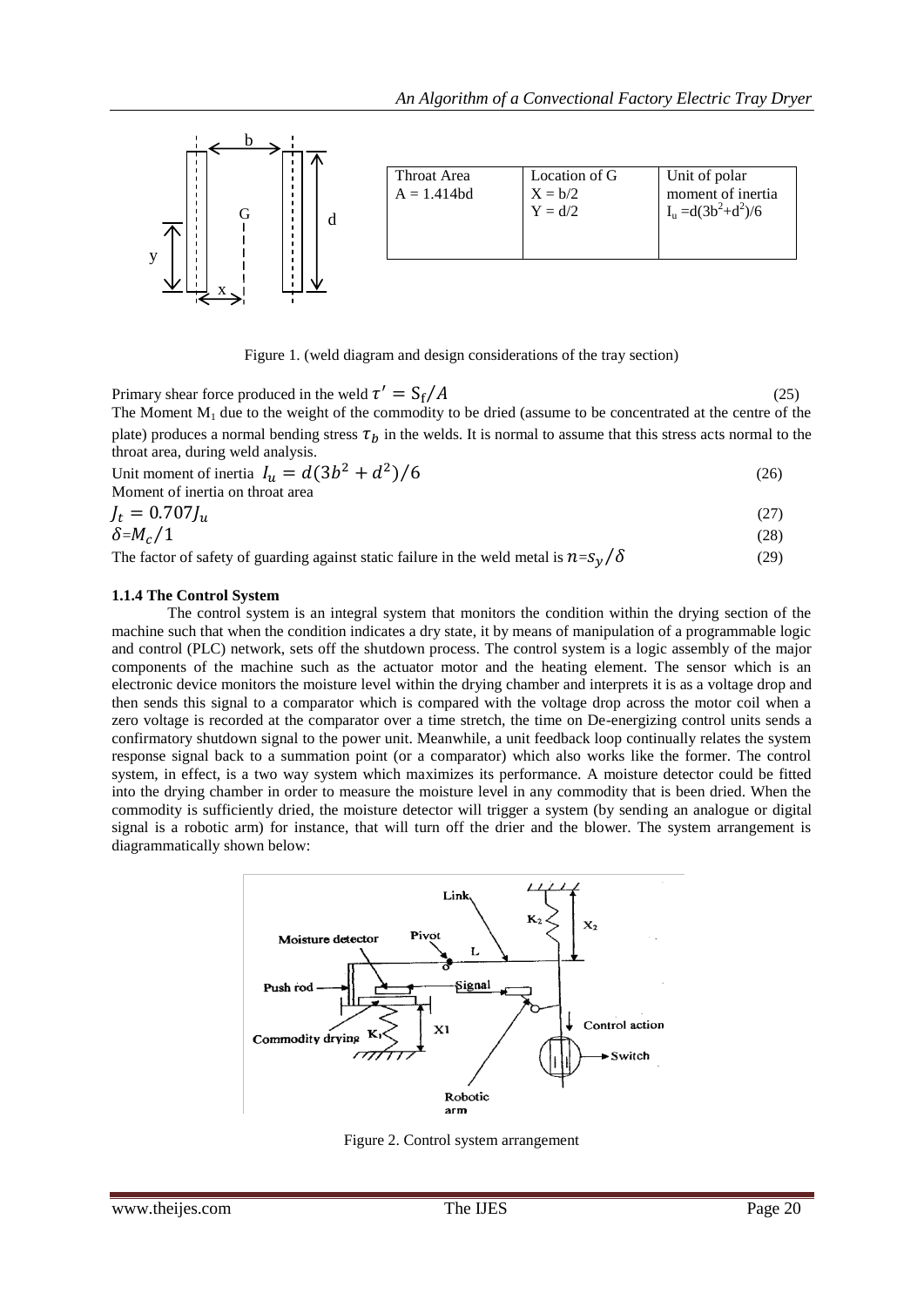

Figure 1. (weld diagram and design considerations of the tray section)

Primary shear force produced in the weld  $\tau' = S_f/A$  (25) The Moment  $M_1$  due to the weight of the commodity to be dried (assume to be concentrated at the centre of the plate) produces a normal bending stress  $\tau_b$  in the welds. It is normal to assume that this stress acts normal to the throat area, during weld analysis.

Unit moment of inertia  $I_u = d(3b^2 + d^2)$  $)/(6$  (26) Moment of inertia on throat area

$$
J_t = 0.707 J_u \tag{27}
$$
  

$$
\delta = M_c / 1 \tag{28}
$$

The factor of safety of guarding against static failure in the weld metal is  $n = s_v / \delta$  (29)

## **1.1.4 The Control System**

The control system is an integral system that monitors the condition within the drying section of the machine such that when the condition indicates a dry state, it by means of manipulation of a programmable logic and control (PLC) network, sets off the shutdown process. The control system is a logic assembly of the major components of the machine such as the actuator motor and the heating element. The sensor which is an electronic device monitors the moisture level within the drying chamber and interprets it is as a voltage drop and then sends this signal to a comparator which is compared with the voltage drop across the motor coil when a zero voltage is recorded at the comparator over a time stretch, the time on De-energizing control units sends a confirmatory shutdown signal to the power unit. Meanwhile, a unit feedback loop continually relates the system response signal back to a summation point (or a comparator) which also works like the former. The control system, in effect, is a two way system which maximizes its performance. A moisture detector could be fitted into the drying chamber in order to measure the moisture level in any commodity that is been dried. When the commodity is sufficiently dried, the moisture detector will trigger a system (by sending an analogue or digital signal is a robotic arm) for instance, that will turn off the drier and the blower. The system arrangement is diagrammatically shown below:



Figure 2. Control system arrangement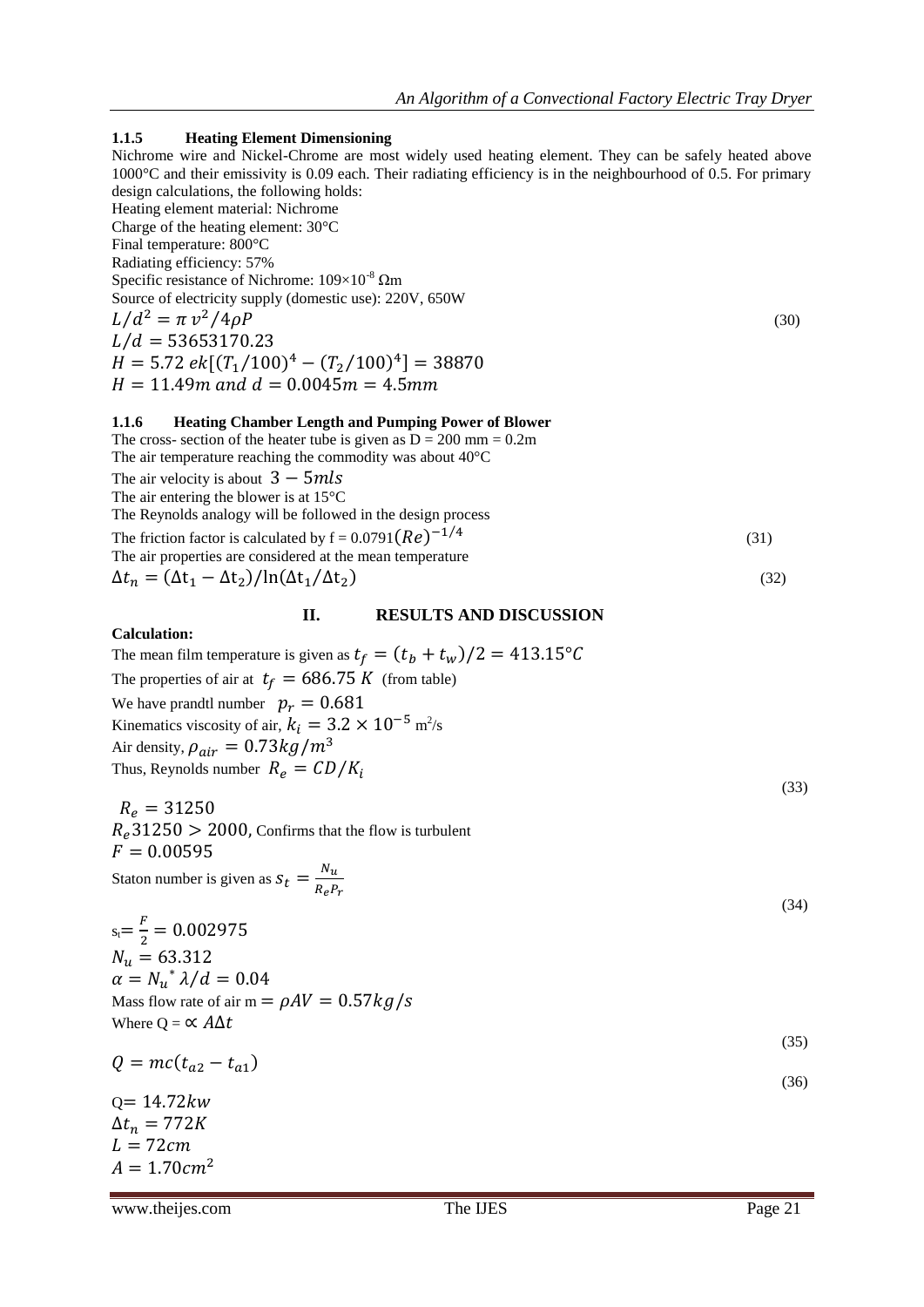## **1.1.5 Heating Element Dimensioning**

Nichrome wire and Nickel-Chrome are most widely used heating element. They can be safely heated above 1000°C and their emissivity is 0.09 each. Their radiating efficiency is in the neighbourhood of 0.5. For primary design calculations, the following holds:

Heating element material: Nichrome Charge of the heating element: 30°C Final temperature: 800°C Radiating efficiency: 57% Specific resistance of Nichrome:  $109\times10^{-8}$  Ωm Source of electricity supply (domestic use): 220V, 650W  $L/d^2$  $^{2}/4\rho P$  (30)  $L/d = 53653170.23$  $H = 5.72 e k [(T_1/100)^4 - (T_2/100)^4]$  $H = 11.49m$  and  $d = 0.0045m = 4.5mm$ **1.1.6 Heating Chamber Length and Pumping Power of Blower** The cross- section of the heater tube is given as  $D = 200$  mm = 0.2m The air temperature reaching the commodity was about 40°C The air velocity is about  $3 - 5$ mls The air entering the blower is at 15°C The Reynolds analogy will be followed in the design process The friction factor is calculated by  $f = 0.0791(Re)^{-1}$  (31) The air properties are considered at the mean temperature

 $\Delta t_n = (\Delta t_1 - \Delta t_2)$  $)$  (32)

#### **II. RESULTS AND DISCUSSION**

#### **Calculation:**

The mean film temperature is given as  $t_f = (t_b + t_w)/2 = 413.15^{\circ}C$ The properties of air at  $t_f = 686.75 K$  (from table) We have prandtl number  $p_r = 0.681$ Kinematics viscosity of air,  $k_i = 3.2 \times 10^{-5}$  m<sup>2</sup>/s Air density,  $\rho_{air} = 0.73 kg/m^3$ Thus, Reynolds number  $R_e = CD/K_i$ 

 $R_e = 31250$  $R_e$ 31250 > 2000, Confirms that the flow is turbulent  $F = 0.00595$ Staton number is given as  $s_t = \frac{N}{R}$  $\frac{u}{R_e P_r}$  (34)  $s_t = \frac{F}{2}$  $\frac{r}{2}$  =  $N_u = 63.312$  $\alpha = N_u^* \lambda$ Mass flow rate of air  $m = \rho A V = 0.57 kg/s$ Where  $Q = \alpha A \Delta t$ 

$$
Q = mc(t_{a2} - t_{a1})
$$
\n<sup>(36)</sup>

 $Q = 14.72kw$  $\Delta t_n = 772K$  $L = 72cm$  $A = 1.70 cm<sup>2</sup>$ 

www.theijes.com The IJES Page 21

(33)

(35)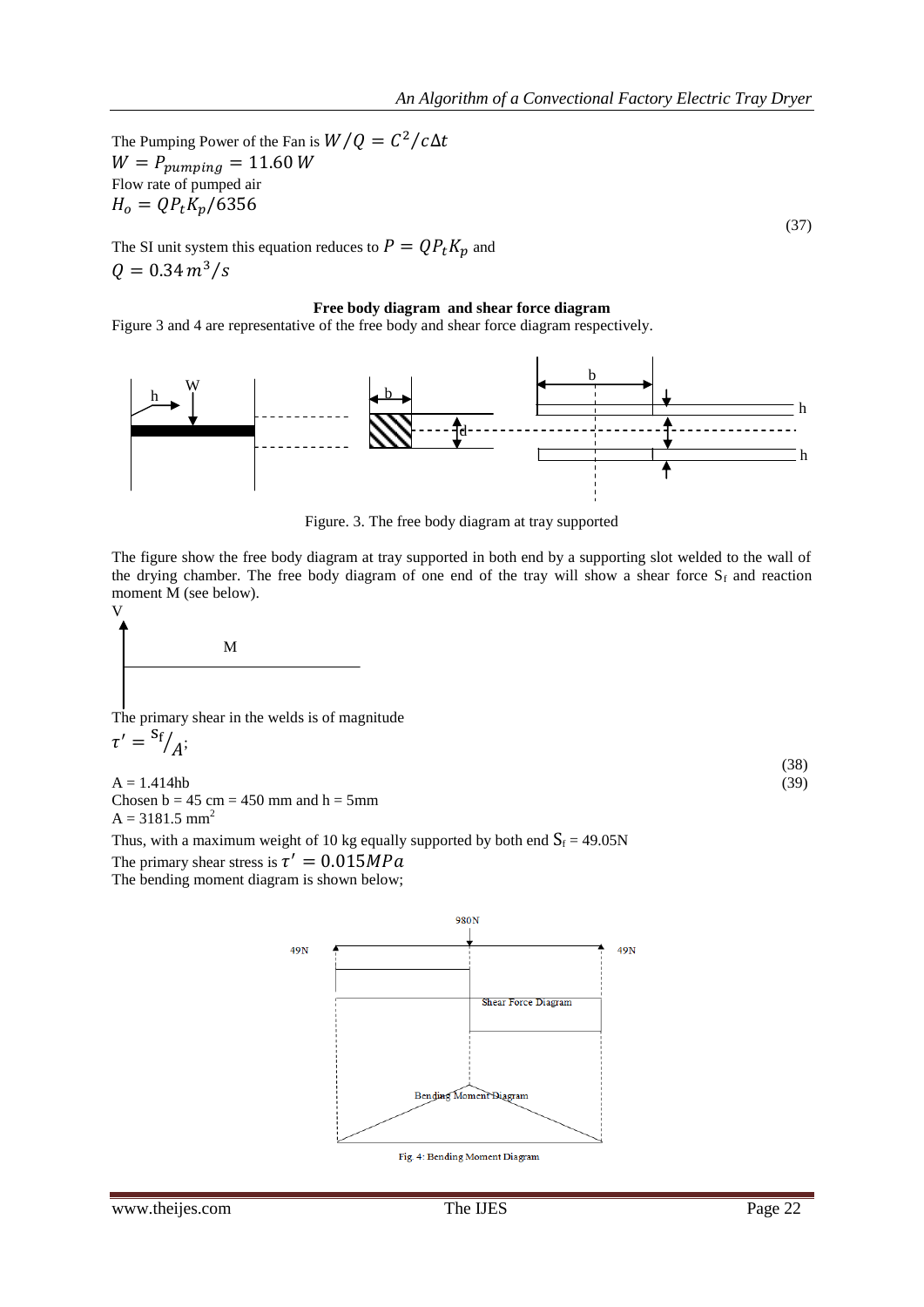The Pumping Power of the Fan is  $W/Q = C^2$  $W = P_{pumping} = 11.60 W$ Flow rate of pumped air  $H_o = QP_tK_p/6356$ 

The SI unit system this equation reduces to  $P = QP_tK_p$  and  $Q = 0.34 \, m^3/s$ 

#### **Free body diagram and shear force diagram**

Figure 3 and 4 are representative of the free body and shear force diagram respectively.



Figure. 3. The free body diagram at tray supported

The figure show the free body diagram at tray supported in both end by a supporting slot welded to the wall of the drying chamber. The free body diagram of one end of the tray will show a shear force  $S_f$  and reaction moment M (see below). V

$$
\begin{matrix} \mathbf{M} \end{matrix}
$$

The primary shear in the welds is of magnitude  $\tau' =$ <sup>S</sup>  $\big|_A;$ 

(38)

(37)

 $A = 1.414hb$  (39) Chosen  $b = 45$  cm = 450 mm and  $h = 5$ mm  $A = 3181.5$  mm<sup>2</sup>

Thus, with a maximum weight of 10 kg equally supported by both end  $S_f = 49.05N$ 

The primary shear stress is  $\tau'$ The bending moment diagram is shown below;

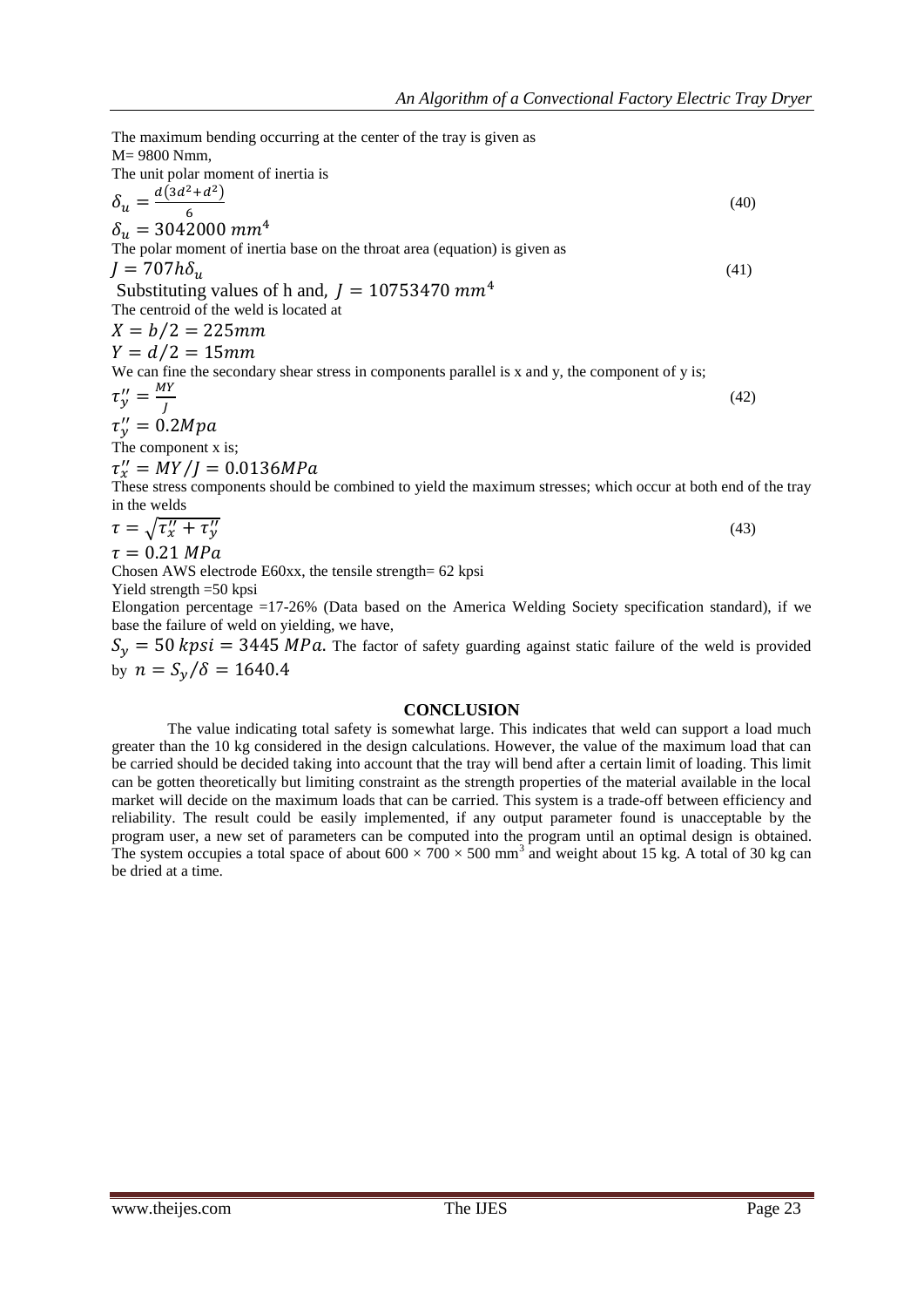The maximum bending occurring at the center of the tray is given as M= 9800 Nmm, The unit polar moment of inertia is  $\delta_u = \frac{d(3d^2+d^2)}{6}$ 6  $(40)$  $\delta_u = 3042000 \; mm^4$ The polar moment of inertia base on the throat area (equation) is given as  $J = 707h\delta_u$  (41) Substituting values of h and,  $J = 10753470$  mm<sup>4</sup> The centroid of the weld is located at  $X = b/2 = 225$ mm  $Y = d/2 = 15$ mm We can fine the secondary shear stress in components parallel is x and y, the component of y is;  $\tau''_{\nu} = \frac{M}{\nu}$ J (42)  $\tau'_{\lambda}$ The component x is;  $\tau'_{\lambda}$ These stress components should be combined to yield the maximum stresses; which occur at both end of the tray in the welds  $\tau = \sqrt{\tau_x^{\prime\prime} + \tau_y^{\prime}}$ (43)

 $\tau = 0.21 MPa$ 

Chosen AWS electrode E60xx, the tensile strength= 62 kpsi Yield strength =50 kpsi

Elongation percentage =17-26% (Data based on the America Welding Society specification standard), if we base the failure of weld on yielding, we have,

 $S_v = 50$  kpsi = 3445 MPa. The factor of safety guarding against static failure of the weld is provided by  $n = S_v/\delta = 1640.4$ 

## **CONCLUSION**

The value indicating total safety is somewhat large. This indicates that weld can support a load much greater than the 10 kg considered in the design calculations. However, the value of the maximum load that can be carried should be decided taking into account that the tray will bend after a certain limit of loading. This limit can be gotten theoretically but limiting constraint as the strength properties of the material available in the local market will decide on the maximum loads that can be carried. This system is a trade-off between efficiency and reliability. The result could be easily implemented, if any output parameter found is unacceptable by the program user, a new set of parameters can be computed into the program until an optimal design is obtained. The system occupies a total space of about  $600 \times 700 \times 500$  mm<sup>3</sup> and weight about 15 kg. A total of 30 kg can be dried at a time.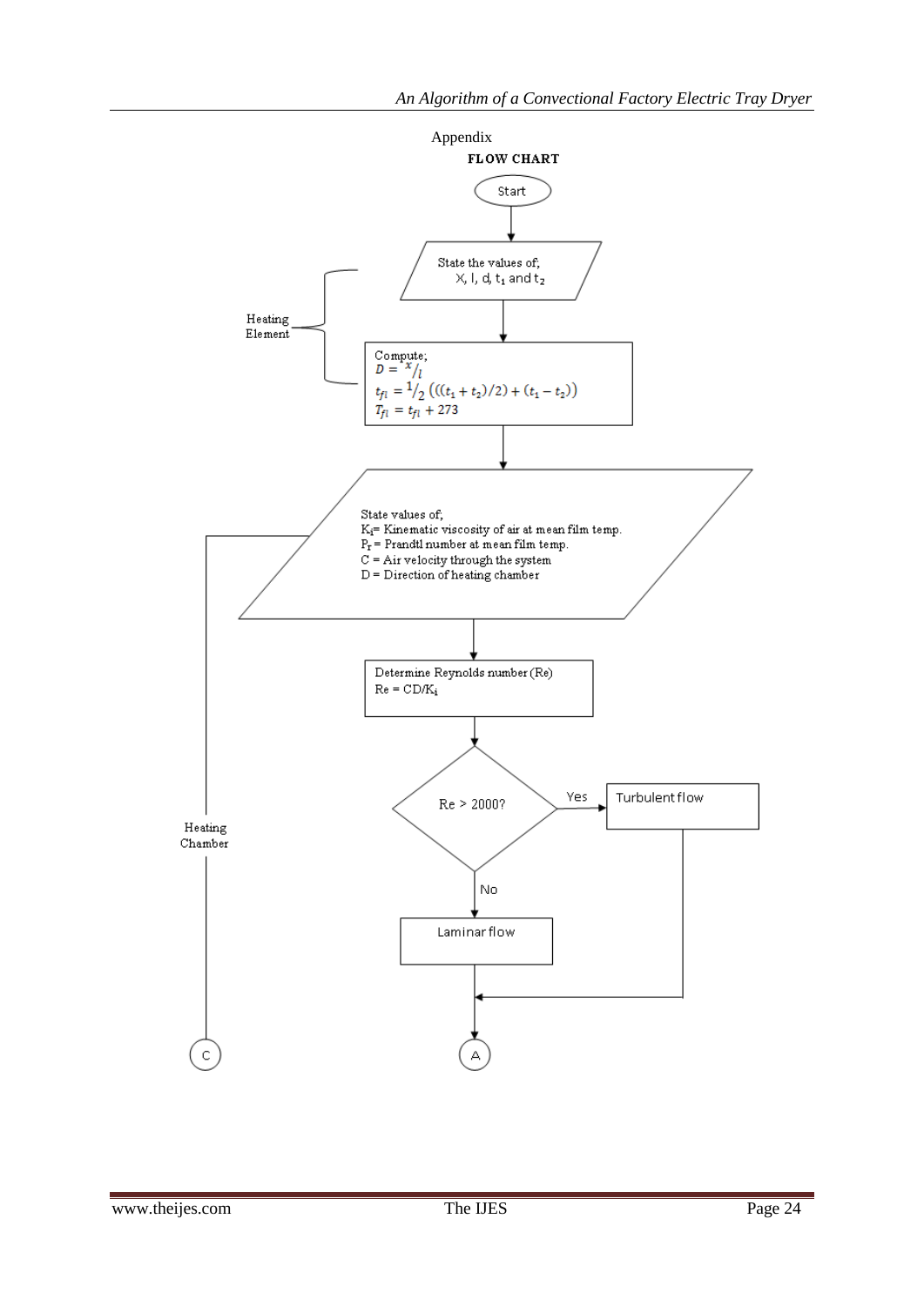